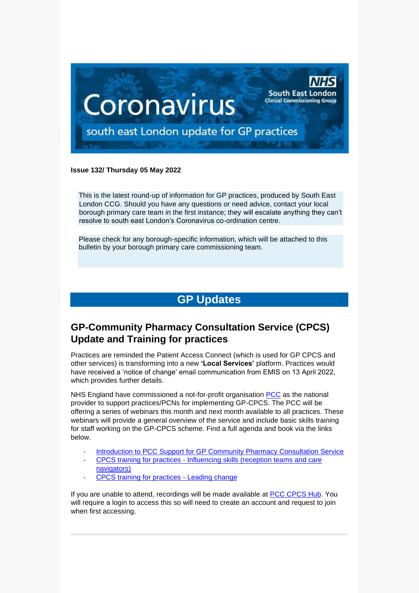

#### **Issue 132/ Thursday 05 May 2022**

This is the latest round-up of information for GP practices, produced by South East London CCG. Should you have any questions or need advice, contact your local borough primary care team in the first instance; they will escalate anything they can't resolve to south east London's Coronavirus co-ordination centre.

Please check for any borough-specific information, which will be attached to this bulletin by your borough primary care commissioning team.

# **GP Updates**

# **GP-Community Pharmacy Consultation Service (CPCS) Update and Training for practices**

Practices are reminded the Patient Access Connect (which is used for GP CPCS and other services) is transforming into a new **'Local Services'** platform. Practices would have received a 'notice of change' email communication from EMIS on 13 April 2022, which provides further details.

NHS England have commissioned a not-for-profit organisation [PCC](https://www.pcc-cic.org.uk/what-we-do/) as the national provider to support practices/PCNs for implementing GP-CPCS. The PCC will be offering a series of webinars this month and next month available to all practices. These webinars will provide a general overview of the service and include basic skills training for staff working on the GP-CPCS scheme. Find a full agenda and book via the links below.

- [Introduction to PCC Support for GP Community Pharmacy Consultation Service](https://www.pccevents.co.uk/pcc/frontend/reg/thome.csp?pageID=1434909&eventID=2720)
- CPCS training for practices [Influencing skills \(reception teams and care](https://www.pccevents.co.uk/pcc/frontend/reg/thome.csp?pageID=1435812&eventID=2722&traceRedir=4)  [navigators\)](https://www.pccevents.co.uk/pcc/frontend/reg/thome.csp?pageID=1435812&eventID=2722&traceRedir=4)
- [CPCS training for practices -](https://www.pccevents.co.uk/pcc/frontend/reg/thome.csp?pageID=1436722&eventID=2724) Leading change

If you are unable to attend, recordings will be made available at [PCC CPCS Hub.](https://www.networks.nhs.uk/nhs-networks/cpcs-hub) You will require a login to access this so will need to create an account and request to join when first accessing.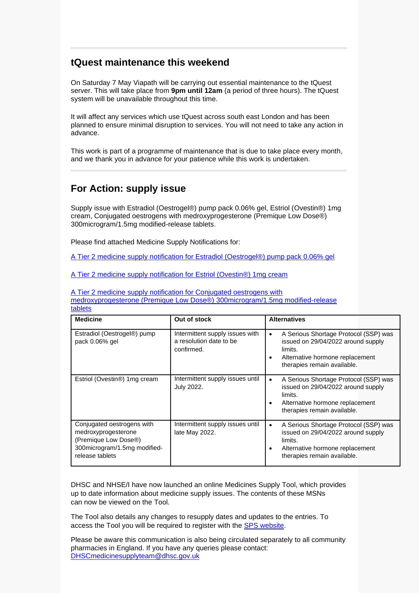# **tQuest maintenance this weekend**

On Saturday 7 May Viapath will be carrying out essential maintenance to the tQuest server. This will take place from **9pm until 12am** (a period of three hours). The tQuest system will be unavailable throughout this time.

It will affect any services which use tQuest across south east London and has been planned to ensure minimal disruption to services. You will not need to take any action in advance.

This work is part of a programme of maintenance that is due to take place every month, and we thank you in advance for your patience while this work is undertaken.

## **For Action: supply issue**

Supply issue with Estradiol (Oestrogel®) pump pack 0.06% gel, Estriol (Ovestin®) 1mg cream, Conjugated oestrogens with medroxyprogesterone (Premique Low Dose®) 300microgram/1.5mg modified-release tablets.

Please find attached Medicine Supply Notifications for:

[A Tier 2 medicine supply notification for Estradiol \(Oestrogel®\) pump pack 0.06% gel](https://selondonccg.nhs.uk/wp-content/uploads/2022/05/MSN_2022_037-Estradiol-Oestrogel®-pump-pack-0.06-gel.pdf)

[A Tier 2 medicine supply notification for Estriol \(Ovestin®\) 1mg cream](https://selondonccg.nhs.uk/wp-content/uploads/2022/05/MSN_2022_038-Estriol-Ovestin®-1mg-cream.pdf)

[A Tier 2 medicine supply notification for Conjugated oestrogens with](https://selondonccg.nhs.uk/wp-content/uploads/2022/05/MSN_2022_039-Conjugated-oestrogens-with-medroxyprogesterone-Premique-Low-Dose%C2%AE-300microgram-per-1.5mg-modified-release-tablets.pdf)  [medroxyprogesterone \(Premique Low Dose®\) 300microgram/1.5mg modified-release](https://selondonccg.nhs.uk/wp-content/uploads/2022/05/MSN_2022_039-Conjugated-oestrogens-with-medroxyprogesterone-Premique-Low-Dose%C2%AE-300microgram-per-1.5mg-modified-release-tablets.pdf)  [tablets](https://selondonccg.nhs.uk/wp-content/uploads/2022/05/MSN_2022_039-Conjugated-oestrogens-with-medroxyprogesterone-Premique-Low-Dose%C2%AE-300microgram-per-1.5mg-modified-release-tablets.pdf)

| <b>Medicine</b>                                                                                                              | Out of stock                                                             | <b>Alternatives</b>                                                                                                                                                        |
|------------------------------------------------------------------------------------------------------------------------------|--------------------------------------------------------------------------|----------------------------------------------------------------------------------------------------------------------------------------------------------------------------|
| Estradiol (Oestrogel®) pump<br>pack 0.06% gel                                                                                | Intermittent supply issues with<br>a resolution date to be<br>confirmed. | A Serious Shortage Protocol (SSP) was<br>$\bullet$<br>issued on 29/04/2022 around supply<br>limits.<br>Alternative hormone replacement<br>therapies remain available.      |
| Estriol (Ovestin <sup>®</sup> ) 1mg cream                                                                                    | Intermittent supply issues until<br>July 2022.                           | A Serious Shortage Protocol (SSP) was<br>$\bullet$<br>issued on 29/04/2022 around supply<br>limits.<br>Alternative hormone replacement<br>therapies remain available.      |
| Conjugated oestrogens with<br>medroxyprogesterone<br>(Premique Low Dose®)<br>300microgram/1.5mg modified-<br>release tablets | Intermittent supply issues until<br>late May 2022.                       | A Serious Shortage Protocol (SSP) was<br>$\bullet$<br>issued on 29/04/2022 around supply<br>limits.<br>Alternative hormone replacement<br>٠<br>therapies remain available. |

DHSC and NHSE/I have now launched an online [Medicines Supply Tool,](https://eur03.safelinks.protection.outlook.com/?url=https%3A%2F%2Fwww.sps.nhs.uk%2Fhome%2Fplanning%2Fmedicines-supply-tool%2F&data=04%7C01%7CHannah.Wigham%40dhsc.gov.uk%7Cb9a17fb0a4c14bee950c08da0ce0dffb%7C61278c3091a84c318c1fef4de8973a1c%7C1%7C0%7C637836457213250484%7CUnknown%7CTWFpbGZsb3d8eyJWIjoiMC4wLjAwMDAiLCJQIjoiV2luMzIiLCJBTiI6Ik1haWwiLCJXVCI6Mn0%3D%7C3000&sdata=wukAvYaUJXV5MpQjjVBdFk3GTRSj%2BtPGWoEt%2FtxL6Xs%3D&reserved=0) which provides up to date information about medicine supply issues. The contents of these MSNs can now be viewed on the Tool.

The Tool also details any changes to resupply dates and updates to the entries. To access the Tool you will be required to register with the [SPS website.](https://eur03.safelinks.protection.outlook.com/?url=https%3A%2F%2Fwww.sps.nhs.uk%2F&data=04%7C01%7CHannah.Wigham%40dhsc.gov.uk%7Cb9a17fb0a4c14bee950c08da0ce0dffb%7C61278c3091a84c318c1fef4de8973a1c%7C1%7C0%7C637836457213250484%7CUnknown%7CTWFpbGZsb3d8eyJWIjoiMC4wLjAwMDAiLCJQIjoiV2luMzIiLCJBTiI6Ik1haWwiLCJXVCI6Mn0%3D%7C3000&sdata=VkVkQeVyulmhB9ifc%2FXcnpbZ5vM5Tz17yedia66pyTY%3D&reserved=0)

Please be aware this communication is also being circulated separately to all community pharmacies in England. If you have any queries please contact: [DHSCmedicinesupplyteam@dhsc.gov.uk](mailto:DHSCmedicinesupplyteam@dhsc.gov.uk)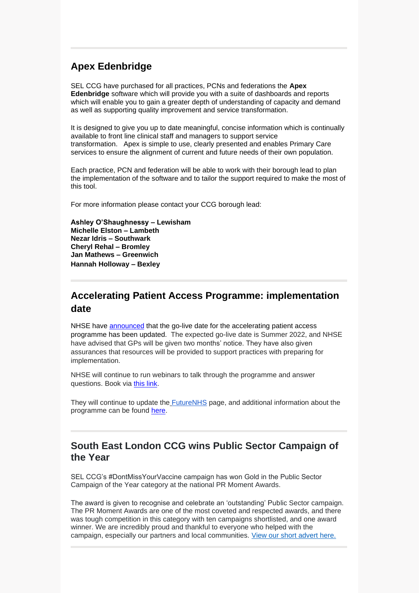## **Apex Edenbridge**

SEL CCG have purchased for all practices, PCNs and federations the **Apex Edenbridge** software which will provide you with a suite of dashboards and reports which will enable you to gain a greater depth of understanding of capacity and demand as well as supporting quality improvement and service transformation.

It is designed to give you up to date meaningful, concise information which is continually available to front line clinical staff and managers to support service transformation. Apex is simple to use, clearly presented and enables Primary Care services to ensure the alignment of current and future needs of their own population.

Each practice, PCN and federation will be able to work with their borough lead to plan the implementation of the software and to tailor the support required to make the most of this tool.

For more information please contact your CCG borough lead:

**Ashley O'Shaughnessy – Lewisham Michelle Elston – Lambeth Nezar Idris – Southwark Cheryl Rehal – Bromley Jan Mathews – Greenwich Hannah Holloway – Bexley**

### **Accelerating Patient Access Programme: implementation date**

NHSE have [announced](https://generalpracticebulletin.cmail19.com/t/ViewEmail/d/799A487E7A328D352540EF23F30FEDED/FDDFB33B02CD117A775FA7C4C6318CD9?alternativeLink=False) that the go-live date for the accelerating patient access programme has been updated. The expected go-live date is Summer 2022, and NHSE have advised that GPs will be given two months' notice. They have also given assurances that resources will be provided to support practices with preparing for implementation.

NHSE will continue to run webinars to talk through the programme and answer questions. Book via [this](https://www.events.england.nhs.uk/getting-ready-for-all-patients-to-have-access-to-their-future-data) link.

They will continue to update the [FutureNHS](https://future.nhs.uk/NHSXImplementation/browseFolder?fid=26634512&sort=name&dir=asc&viewMode=S) page, and additional information about the programme can be found [here.](https://digital.nhs.uk/services/nhs-app/nhs-app-guidance-for-gp-practices/accelerating-patient-access-to-their-record)

#### **South East London CCG wins Public Sector Campaign of the Year**

SEL CCG's #DontMissYourVaccine campaign has won Gold in the Public Sector Campaign of the Year category at the national PR Moment Awards.

The award is given to recognise and celebrate an 'outstanding' Public Sector campaign. The PR Moment Awards are one of the most coveted and respected awards, and there was tough competition in this category with ten campaigns shortlisted, and one award winner. We are incredibly proud and thankful to everyone who helped with the campaign, especially our partners and local communities. [View our short advert here.](https://www.youtube.com/watch?v=Q_T6aAP3dCE)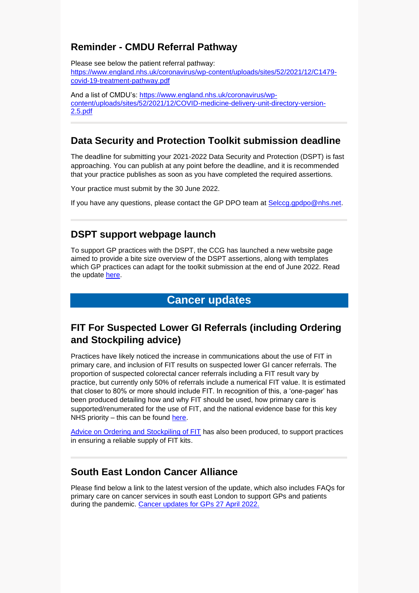# **Reminder - CMDU Referral Pathway**

Please see below the patient referral pathway: [https://www.england.nhs.uk/coronavirus/wp-content/uploads/sites/52/2021/12/C1479](https://www.england.nhs.uk/coronavirus/wp-content/uploads/sites/52/2021/12/C1479-covid-19-treatment-pathway.pdf) [covid-19-treatment-pathway.pdf](https://www.england.nhs.uk/coronavirus/wp-content/uploads/sites/52/2021/12/C1479-covid-19-treatment-pathway.pdf)

And a list of CMDU's: [https://www.england.nhs.uk/coronavirus/wp](https://www.england.nhs.uk/coronavirus/wp-content/uploads/sites/52/2021/12/COVID-medicine-delivery-unit-directory-version-2.5.pdf)[content/uploads/sites/52/2021/12/COVID-medicine-delivery-unit-directory-version-](https://www.england.nhs.uk/coronavirus/wp-content/uploads/sites/52/2021/12/COVID-medicine-delivery-unit-directory-version-2.5.pdf)[2.5.pdf](https://www.england.nhs.uk/coronavirus/wp-content/uploads/sites/52/2021/12/COVID-medicine-delivery-unit-directory-version-2.5.pdf)

# **Data Security and Protection Toolkit submission deadline**

The deadline for submitting your 2021-2022 Data Security and Protection (DSPT) is fast approaching. You can publish at any point before the deadline, and it is recommended that your practice publishes as soon as you have completed the required assertions.

Your practice must submit by the 30 June 2022.

If you have any questions, please contact the GP DPO team at [Selccg.gpdpo@nhs.net.](mailto:Selccg.gpdpo@nhs.net)

## **DSPT support webpage launch**

To support GP practices with the DSPT, the CCG has launched a new website page aimed to provide a bite size overview of the DSPT assertions, along with templates which GP practices can adapt for the toolkit submission at the end of June 2022. Read the update [here.](https://selondonccg.nhs.uk/wp-content/uploads/2022/05/20220414-Bulletin-DPST-website-launch-final.docx)

### **Cancer updates**

# **FIT For Suspected Lower GI Referrals (including Ordering and Stockpiling advice)**

Practices have likely noticed the increase in communications about the use of FIT in primary care, and inclusion of FIT results on suspected lower GI cancer referrals. The proportion of suspected colorectal cancer referrals including a FIT result vary by practice, but currently only 50% of referrals include a numerical FIT value. It is estimated that closer to 80% or more should include FIT. In recognition of this, a 'one-pager' has been produced detailing how and why FIT should be used, how primary care is supported/renumerated for the use of FIT, and the national evidence base for this key NHS priority – this can be found [here.](https://selondonccg.nhs.uk/wp-content/uploads/2022/04/FIT-Results-for-Suspected-Lower-GI-Cancer-Referrals_April-2022_FINAL.pdf)

[Advice on Ordering and Stockpiling of FIT](https://selondonccg.nhs.uk/wp-content/uploads/2022/05/FIT-Kits-Ordering-and-Stockpiling-Advice.pdf) has also been produced, to support practices in ensuring a reliable supply of FIT kits.

#### **South East London Cancer Alliance**

Please find below a link to the latest version of the update, which also includes FAQs for primary care on cancer services in south east London to support GPs and patients during the pandemic. [Cancer updates for GPs 27 April](https://selondonccg.nhs.uk/wp-content/uploads/2022/04/SEL-Cancer-Updates-FAQs-for-Primary-Care-27-Apr-2022.pdf) 2022.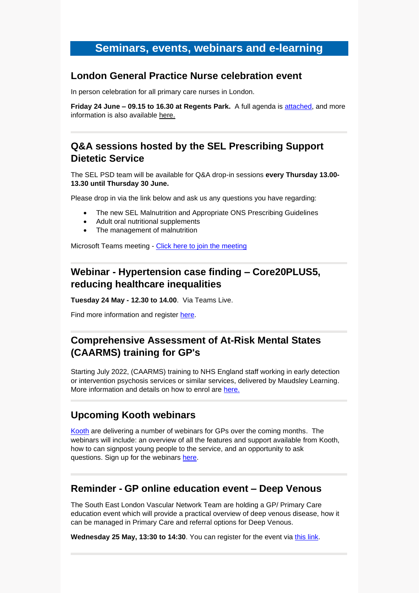# **Seminars, events, webinars and e-learning**

#### **London General Practice Nurse celebration event**

In person celebration for all primary care nurses in London.

**Friday 24 June – 09.15 to 16.30 at Regents Park.** A full agenda is [attached,](https://selondonccg.nhs.uk/wp-content/uploads/2022/05/A-celebration-event-agenda.pdf) and more information is also available [here.](https://selondonccg.nhs.uk/wp-content/uploads/2022/03/A-celebration-event.._-002.png)

# **Q&A sessions hosted by the SEL Prescribing Support Dietetic Service**

The SEL PSD team will be available for Q&A drop-in sessions **every Thursday 13.00- 13.30 until Thursday 30 June.** 

Please drop in via the link below and ask us any questions you have regarding:

- The new SEL Malnutrition and Appropriate ONS Prescribing Guidelines
- Adult oral nutritional supplements
- The management of malnutrition

Microsoft Teams meeting - [Click here to join the meeting](https://scanmail.trustwave.com/?c=8248&d=idDm4o6uS0GY0iLOeW5L0O65QjAmtV4uOwhsjMlVtg&u=https%3a%2f%2fteams%2emicrosoft%2ecom%2fl%2fmeetup-join%2f19%253ameeting%5fYzAzZDEyOWYtYTAwOS00ZDRiLWE0MzUtZDVhZWUyNzk5MjBh%2540thread%2ev2%2f0%3fcontext%3d%257b%2522Tid%2522%253a%252237c354b2-85b0-47f5-b222-07b48d774ee3%2522%252c%2522Oid%2522%253a%25225a39bd09-a550-40fc-be4b-a60f7c60ecdc%2522%257d)

# **Webinar - Hypertension case finding – Core20PLUS5, reducing healthcare inequalities**

**Tuesday 24 May - 12.30 to 14.00**. Via Teams Live.

Find more information and register [here.](https://www.events.england.nhs.uk/events/hypertension-case-finding-core20plus5-reducing-healthcare-inequalities)

# **Comprehensive Assessment of At-Risk Mental States (CAARMS) training for GP's**

Starting July 2022, (CAARMS) training to NHS England staff working in early detection or intervention psychosis services or similar services, delivered by Maudsley Learning. More information and details on how to enrol are [here.](https://selondonccg.nhs.uk/wp-content/uploads/2022/05/CAARMS-Leaflet-v1.2.pdf)

#### **Upcoming Kooth webinars**

[Kooth](https://explore.kooth.com/gp/) are delivering a number of webinars for GPs over the coming months. The webinars will include: an overview of all the features and support available from Kooth, how to can signpost young people to the service, and an opportunity to ask questions. Sign up for the webinars [here.](https://docs.google.com/forms/d/16OlTp8QyImfh9qQPuY_H18mosOGMpNa95h4c3ODi3J0/edit?ts=6241be12)

#### **Reminder - GP online education event – Deep Venous**

The South East London Vascular Network Team are holding a GP/ Primary Care education event which will provide a practical overview of deep venous disease, how it can be managed in Primary Care and referral options for Deep Venous.

**Wednesday 25 May, 13:30 to 14:30**. You can register for the event via [this link.](https://www.eventbrite.co.uk/e/gp-education-event-deep-venous-tickets-256678330797)